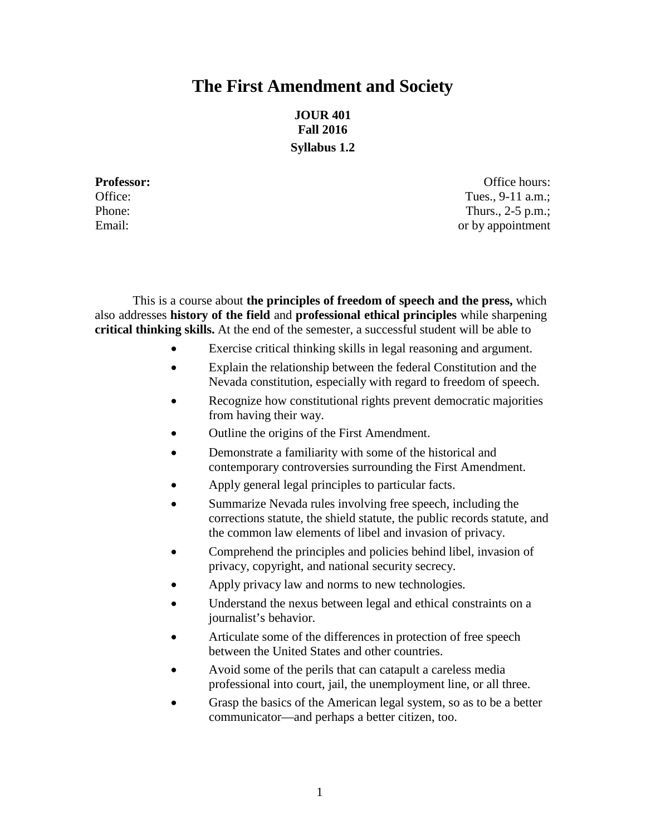# **The First Amendment and Society**

**JOUR 401 Fall 2016 Syllabus 1.2**

**Professor: Office hours: Office hours: Office hours: Office hours: Office hours:** Office: Tues., 9-11 a.m.; Phone: Thurs., 2-5 p.m.; Email: or by appointment

This is a course about **the principles of freedom of speech and the press,** which also addresses **history of the field** and **professional ethical principles** while sharpening **critical thinking skills.** At the end of the semester, a successful student will be able to

- Exercise critical thinking skills in legal reasoning and argument.
- Explain the relationship between the federal Constitution and the Nevada constitution, especially with regard to freedom of speech.
- Recognize how constitutional rights prevent democratic majorities from having their way.
- Outline the origins of the First Amendment.
- Demonstrate a familiarity with some of the historical and contemporary controversies surrounding the First Amendment.
- Apply general legal principles to particular facts.
- Summarize Nevada rules involving free speech, including the corrections statute, the shield statute, the public records statute, and the common law elements of libel and invasion of privacy.
- Comprehend the principles and policies behind libel, invasion of privacy, copyright, and national security secrecy.
- Apply privacy law and norms to new technologies.
- Understand the nexus between legal and ethical constraints on a journalist's behavior.
- Articulate some of the differences in protection of free speech between the United States and other countries.
- Avoid some of the perils that can catapult a careless media professional into court, jail, the unemployment line, or all three.
- Grasp the basics of the American legal system, so as to be a better communicator—and perhaps a better citizen, too.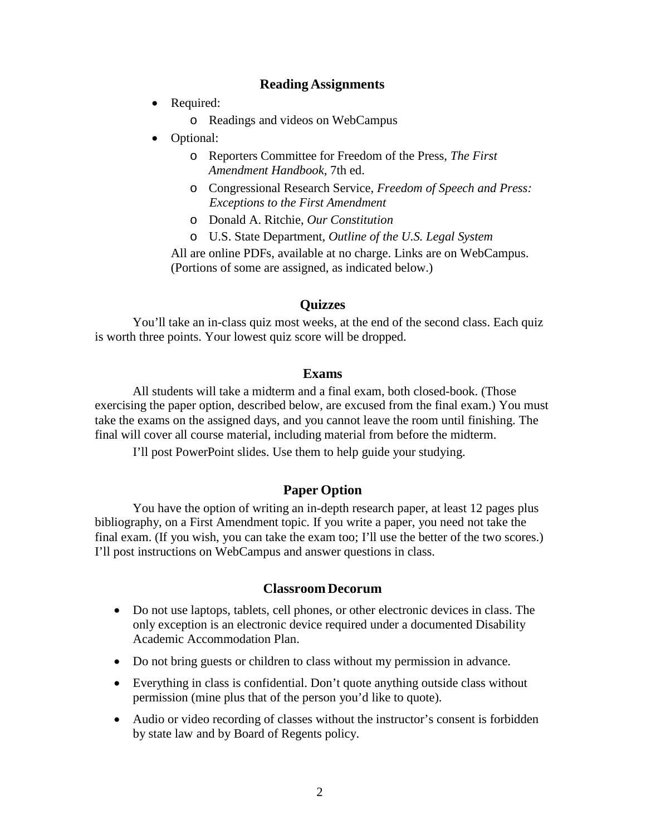## **Reading Assignments**

- Required:
	- o Readings and videos on WebCampus
- Optional:
	- o Reporters Committee for Freedom of the Press, *The First Amendment Handbook*, 7th ed.
	- o Congressional Research Service, *Freedom of Speech and Press: Exceptions to the First Amendment*
	- o Donald A. Ritchie, *Our Constitution*
	- o U.S. State Department, *Outline of the U.S. Legal System*

All are online PDFs, available at no charge. Links are on WebCampus. (Portions of some are assigned, as indicated below.)

### **Quizzes**

You'll take an in-class quiz most weeks, at the end of the second class. Each quiz is worth three points. Your lowest quiz score will be dropped.

#### **Exams**

All students will take a midterm and a final exam, both closed-book. (Those exercising the paper option, described below, are excused from the final exam.) You must take the exams on the assigned days, and you cannot leave the room until finishing. The final will cover all course material, including material from before the midterm.

I'll post PowerPoint slides. Use them to help guide your studying.

## **Paper Option**

You have the option of writing an in-depth research paper, at least 12 pages plus bibliography, on a First Amendment topic. If you write a paper, you need not take the final exam. (If you wish, you can take the exam too; I'll use the better of the two scores.) I'll post instructions on WebCampus and answer questions in class.

### **Classroom Decorum**

- Do not use laptops, tablets, cell phones, or other electronic devices in class. The only exception is an electronic device required under a documented Disability Academic Accommodation Plan.
- Do not bring guests or children to class without my permission in advance.
- Everything in class is confidential. Don't quote anything outside class without permission (mine plus that of the person you'd like to quote).
- Audio or video recording of classes without the instructor's consent is forbidden by state law and by Board of Regents policy.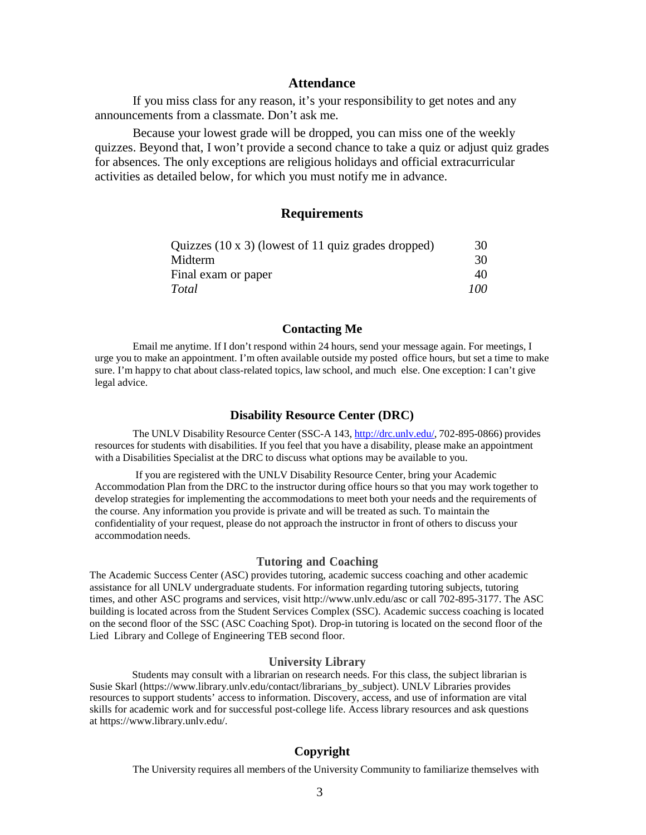#### **Attendance**

If you miss class for any reason, it's your responsibility to get notes and any announcements from a classmate. Don't ask me.

Because your lowest grade will be dropped, you can miss one of the weekly quizzes. Beyond that, I won't provide a second chance to take a quiz or adjust quiz grades for absences. The only exceptions are religious holidays and official extracurricular activities as detailed below, for which you must notify me in advance.

#### **Requirements**

| Quizzes $(10 \times 3)$ (lowest of 11 quiz grades dropped) | 30  |
|------------------------------------------------------------|-----|
| Midterm                                                    | 30  |
| Final exam or paper                                        | 40. |
| Total                                                      | 100 |

#### **Contacting Me**

Email me anytime. If I don't respond within 24 hours, send your message again. For meetings, I urge you to make an appointment. I'm often available outside my posted office hours, but set a time to make sure. I'm happy to chat about class-related topics, law school, and much else. One exception: I can't give legal advice.

#### **Disability Resource Center (DRC)**

The UNLV Disability Resource Center (SSC-A 143, [http://drc.unlv.edu/,](http://drc.unlv.edu/) 702-895-0866) provides resources for students with disabilities. If you feel that you have a disability, please make an appointment with a Disabilities Specialist at the DRC to discuss what options may be available to you.

If you are registered with the UNLV Disability Resource Center, bring your Academic Accommodation Plan from the DRC to the instructor during office hours so that you may work together to develop strategies for implementing the accommodations to meet both your needs and the requirements of the course. Any information you provide is private and will be treated as such. To maintain the confidentiality of your request, please do not approach the instructor in front of others to discuss your accommodation needs.

#### **Tutoring and Coaching**

The Academic Success Center (ASC) provides tutoring, academic success coaching and other academic assistance for all UNLV undergraduate students. For information regarding tutoring subjects, tutoring times, and other ASC programs and services, visi[t http://www.unlv.edu/asc o](http://www.unlv.edu/asc)r call 702-895-3177. The ASC building is located across from the Student Services Complex (SSC). Academic success coaching is located on the second floor of the SSC (ASC Coaching Spot). Drop-in tutoring is located on the second floor of the Lied Library and College of Engineering TEB second floor.

#### **University Library**

Students may consult with a librarian on research needs. For this class, the subject librarian is Susie Skarl [\(https://www.library.unlv.edu/contact/librarians\\_by\\_subject\)](https://www.library.unlv.edu/contact/librarians_by_subject). UNLV Libraries provides resources to support students' access to information. Discovery, access, and use of information are vital skills for academic work and for successful post-college life. Access library resources and ask questions at [https://www.library.unlv.edu/.](https://www.library.unlv.edu/)

#### **Copyright**

The University requires all members of the University Community to familiarize themselves with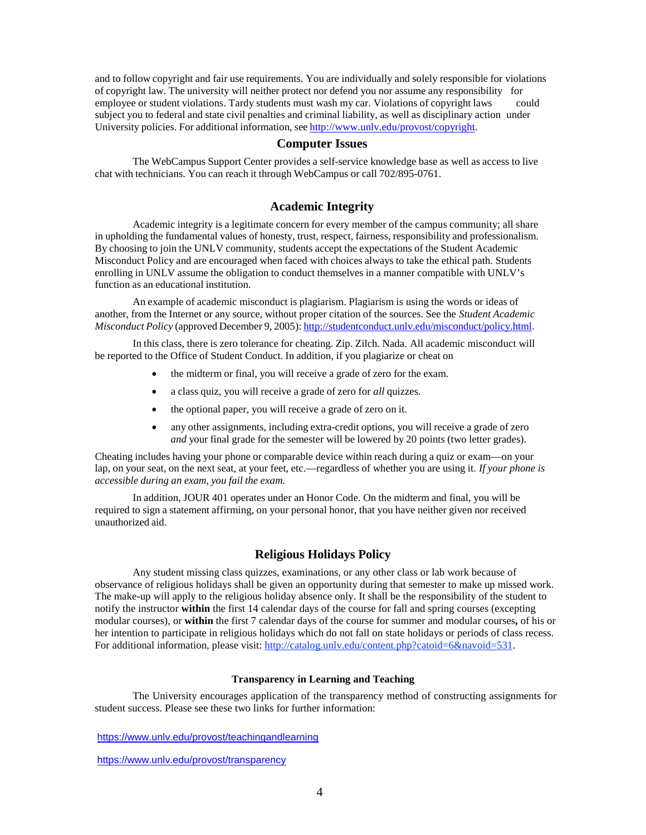and to follow copyright and fair use requirements. You are individually and solely responsible for violations of copyright law. The university will neither protect nor defend you nor assume any responsibility for employee or student violations. Tardy students must wash my car. Violations of copyright laws could subject you to federal and state civil penalties and criminal liability, as well as disciplinary action under University policies. For additional information, see http://www.unly.edu/provost/copyright.

#### **Computer Issues**

The WebCampus Support Center provides a self-service knowledge base as well as access to live chat with technicians. You can reach it through WebCampus or call 702/895-0761.

#### **Academic Integrity**

Academic integrity is a legitimate concern for every member of the campus community; all share in upholding the fundamental values of honesty, trust, respect, fairness, responsibility and professionalism. By choosing to join the UNLV community, students accept the expectations of the Student Academic Misconduct Policy and are encouraged when faced with choices always to take the ethical path. Students enrolling in UNLV assume the obligation to conduct themselves in a manner compatible with UNLV's function as an educational institution.

An example of academic misconduct is plagiarism. Plagiarism is using the words or ideas of another, from the Internet or any source, without proper citation of the sources. See the *Student Academic Misconduct Policy* (approved December 9, 2005): [http://studentconduct.unlv.edu/misconduct/policy.html.](http://studentconduct.unlv.edu/misconduct/policy.html)

In this class, there is zero tolerance for cheating. Zip. Zilch. Nada. All academic misconduct will be reported to the Office of Student Conduct. In addition, if you plagiarize or cheat on

- the midterm or final, you will receive a grade of zero for the exam.
- a class quiz, you will receive a grade of zero for *all* quizzes.
- the optional paper, you will receive a grade of zero on it.
- any other assignments, including extra-credit options, you will receive a grade of zero *and* your final grade for the semester will be lowered by 20 points (two letter grades).

Cheating includes having your phone or comparable device within reach during a quiz or exam—on your lap, on your seat, on the next seat, at your feet, etc.—regardless of whether you are using it. *If your phone is accessible during an exam, you fail the exam.*

In addition, JOUR 401 operates under an Honor Code. On the midterm and final, you will be required to sign a statement affirming, on your personal honor, that you have neither given nor received unauthorized aid.

#### **Religious Holidays Policy**

Any student missing class quizzes, examinations, or any other class or lab work because of observance of religious holidays shall be given an opportunity during that semester to make up missed work. The make-up will apply to the religious holiday absence only. It shall be the responsibility of the student to notify the instructor **within** the first 14 calendar days of the course for fall and spring courses (excepting modular courses), or **within** the first 7 calendar days of the course for summer and modular courses**,** of his or her intention to participate in religious holidays which do not fall on state holidays or periods of class recess. For additional information, please visit: http://catalog.unly.edu/content.php?catoid=6&navoid=531.

#### **Transparency in Learning and Teaching**

The University encourages application of the transparency method of constructing assignments for student success. Please see these two links for further information:

<https://www.unlv.edu/provost/teachingandlearning>

<https://www.unlv.edu/provost/transparency>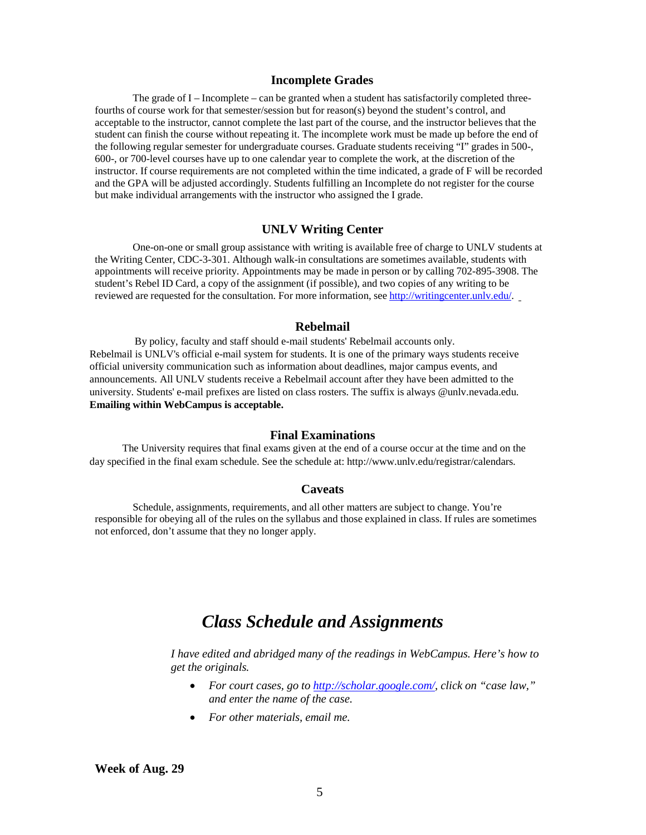#### **Incomplete Grades**

The grade of I – Incomplete – can be granted when a student has satisfactorily completed threefourths of course work for that semester/session but for reason(s) beyond the student's control, and acceptable to the instructor, cannot complete the last part of the course, and the instructor believes that the student can finish the course without repeating it. The incomplete work must be made up before the end of the following regular semester for undergraduate courses. Graduate students receiving "I" grades in 500-, 600-, or 700-level courses have up to one calendar year to complete the work, at the discretion of the instructor. If course requirements are not completed within the time indicated, a grade of F will be recorded and the GPA will be adjusted accordingly. Students fulfilling an Incomplete do not register for the course but make individual arrangements with the instructor who assigned the I grade.

#### **UNLV Writing Center**

One-on-one or small group assistance with writing is available free of charge to UNLV students at the Writing Center, CDC-3-301. Although walk-in consultations are sometimes available, students with appointments will receive priority. Appointments may be made in person or by calling 702-895-3908. The student's Rebel ID Card, a copy of the assignment (if possible), and two copies of any writing to be reviewed are requested for the consultation. For more information, see [http://writingcenter.unlv.edu/.](http://writingcenter.unlv.edu/)

#### **Rebelmail**

By policy, faculty and staff should e-mail students' Rebelmail accounts only. Rebelmail is UNLV's official e-mail system for students. It is one of the primary ways students receive official university communication such as information about deadlines, major campus events, and announcements. All UNLV students receive a Rebelmail account after they have been admitted to the university. Students' e-mail prefixes are listed on class rosters. The suffix is always @unlv.nevada.edu. **Emailing within WebCampus is acceptable.**

#### **Final Examinations**

The University requires that final exams given at the end of a course occur at the time and on the day specified in the final exam schedule. See the schedule at: http://www.unlv.edu/registrar/calendars.

#### **Caveats**

Schedule, assignments, requirements, and all other matters are subject to change. You're responsible for obeying all of the rules on the syllabus and those explained in class. If rules are sometimes not enforced, don't assume that they no longer apply.

# *Class Schedule and Assignments*

*I have edited and abridged many of the readings in WebCampus. Here's how to get the originals.*

- *For court cases, go to [http://scholar.google.com/,](http://scholar.google.com/) click on "case law," and enter the name of the case.*
- *For other materials, email me.*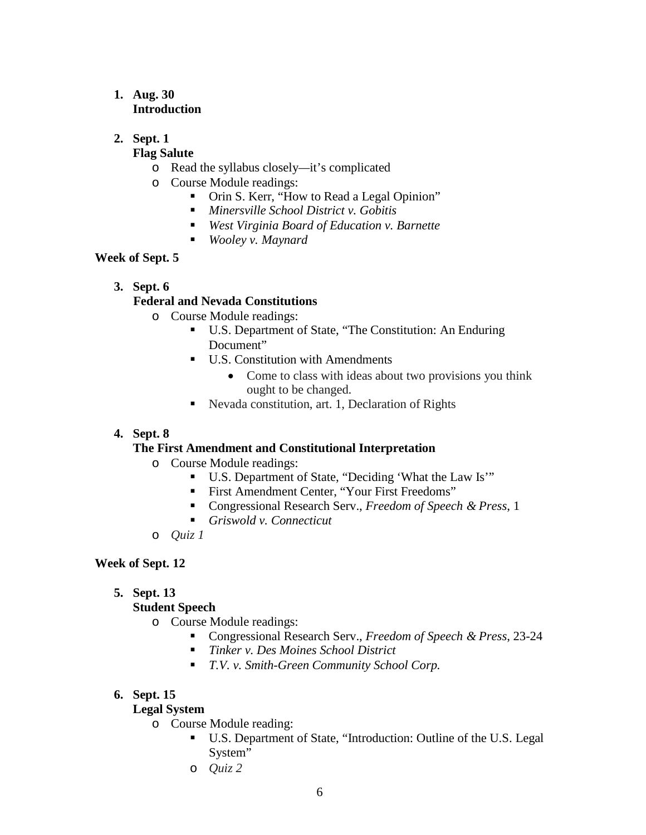# **1. Aug. 30 Introduction**

# **2. Sept. 1**

# **Flag Salute**

- o Read the syllabus closely*—*it's complicated
- o Course Module readings:
	- Orin S. Kerr, "How to Read a Legal Opinion"
	- *Minersville School District v. Gobitis*
	- *West Virginia Board of Education v. Barnette*
	- *Wooley v. Maynard*

# **Week of Sept. 5**

# **3. Sept. 6**

# **Federal and Nevada Constitutions**

- o Course Module readings:
	- U.S. Department of State, "The Constitution: An Enduring Document"
	- **U.S. Constitution with Amendments** 
		- Come to class with ideas about two provisions you think ought to be changed.
	- Nevada constitution, art. 1, Declaration of Rights

# **4. Sept. 8**

# **The First Amendment and Constitutional Interpretation**

- o Course Module readings:
	- U.S. Department of State, "Deciding 'What the Law Is'"
	- First Amendment Center, "Your First Freedoms"
	- Congressional Research Serv., *Freedom of Speech & Press*, 1
	- *Griswold v. Connecticut*
- o *Quiz 1*

# **Week of Sept. 12**

**5. Sept. 13**

# **Student Speech**

# o Course Module readings:

- Congressional Research Serv., *Freedom of Speech & Press*, 23-24
- *Tinker v. Des Moines School District*
- *T.V. v. Smith-Green Community School Corp.*

# **6. Sept. 15**

# **Legal System**

- o Course Module reading:
	- U.S. Department of State, "Introduction: Outline of the U.S. Legal System"
	- o *Quiz 2*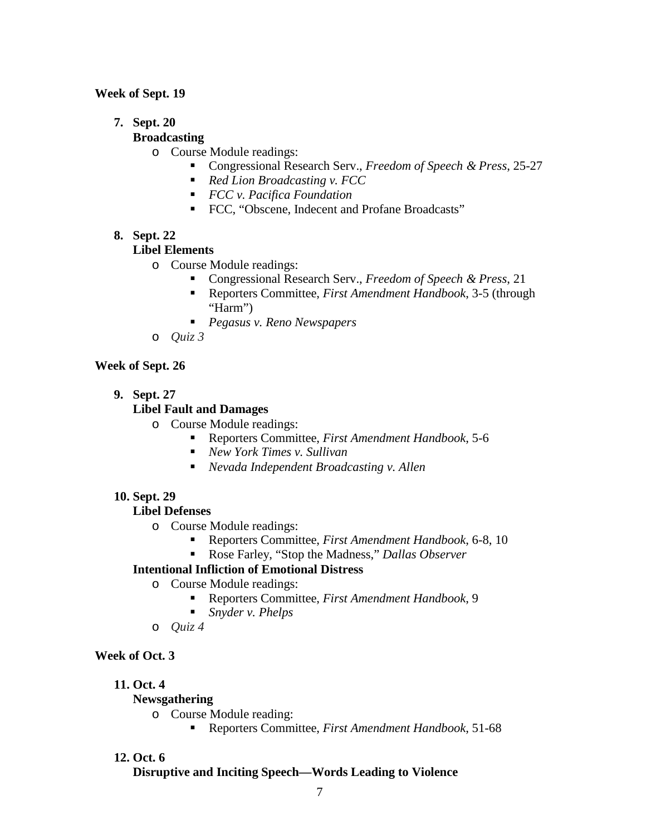### **Week of Sept. 19**

### **7. Sept. 20**

### **Broadcasting**

- o Course Module readings:
	- Congressional Research Serv., *Freedom of Speech & Press*, 25-27
	- *Red Lion Broadcasting v. FCC*
	- *FCC v. Pacifica Foundation*
	- FCC, "Obscene, Indecent and Profane Broadcasts"

#### **8. Sept. 22**

#### **Libel Elements**

- o Course Module readings:
	- Congressional Research Serv., *Freedom of Speech & Press*, 21
	- Reporters Committee, *First Amendment Handbook*, 3-5 (through "Harm")
	- *Pegasus v. Reno Newspapers*
- o *Quiz 3*

#### **Week of Sept. 26**

**9. Sept. 27**

### **Libel Fault and Damages**

- o Course Module readings:
	- Reporters Committee, *First Amendment Handbook*, 5-6
	- *New York Times v. Sullivan*
	- *Nevada Independent Broadcasting v. Allen*

#### **10. Sept. 29**

### **Libel Defenses**

- o Course Module readings:
	- Reporters Committee, *First Amendment Handbook*, 6-8, 10
	- Rose Farley, "Stop the Madness," *Dallas Observer*

## **Intentional Infliction of Emotional Distress**

- o Course Module readings:
	- Reporters Committee, *First Amendment Handbook*, 9
	- *Snyder v. Phelps*
- o *Quiz 4*

# **Week of Oct. 3**

- **11. Oct. 4**
	- **Newsgathering**
		- o Course Module reading:
			- Reporters Committee, *First Amendment Handbook*, 51-68

#### **12. Oct. 6**

#### **Disruptive and Inciting Speech—Words Leading to Violence**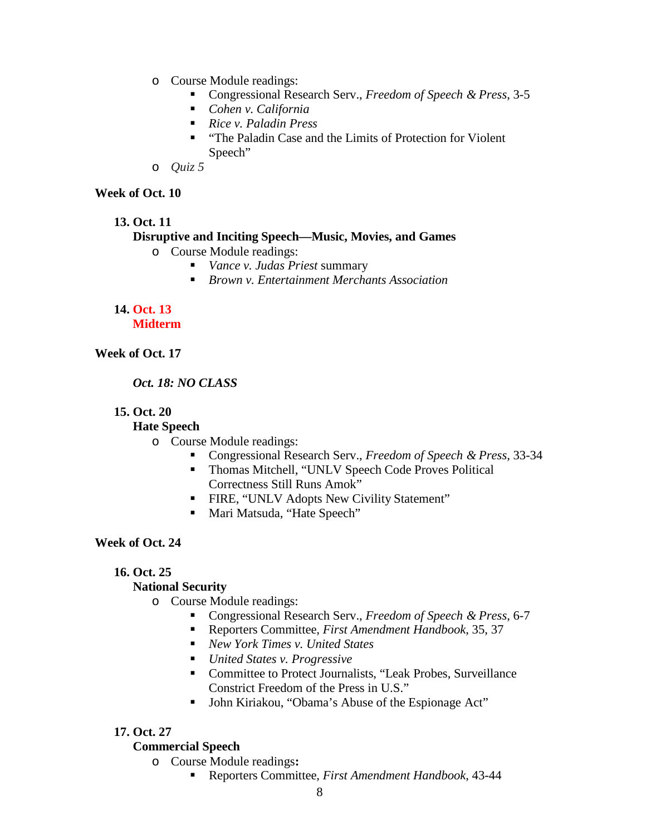- o Course Module readings:
	- Congressional Research Serv., *Freedom of Speech & Press*, 3-5
	- *Cohen v. California*
	- *Rice v. Paladin Press*
	- "The Paladin Case and the Limits of Protection for Violent Speech"
- o *Quiz 5*

## **Week of Oct. 10**

**13. Oct. 11**

# **Disruptive and Inciting Speech—Music, Movies, and Games**

- o Course Module readings:
	- *Vance v. Judas Priest* summary
	- *Brown v. Entertainment Merchants Association*

#### **14. Oct. 13 Midterm**

# **Week of Oct. 17**

# *Oct. 18: NO CLASS*

# **15. Oct. 20**

# **Hate Speech**

- o Course Module readings:
	- Congressional Research Serv., *Freedom of Speech & Press*, 33-34
	- Thomas Mitchell, "UNLV Speech Code Proves Political Correctness Still Runs Amok"
	- **FIRE, "UNLV Adopts New Civility Statement"**
	- Mari Matsuda, "Hate Speech"

# **Week of Oct. 24**

# **16. Oct. 25**

# **National Security**

- o Course Module readings:
	- Congressional Research Serv., *Freedom of Speech & Press*, 6-7
	- Reporters Committee, *First Amendment Handbook*, 35, 37
	- *New York Times v. United States*
	- *United States v. Progressive*
	- Committee to Protect Journalists, "Leak Probes, Surveillance Constrict Freedom of the Press in U.S."
	- John Kiriakou, "Obama's Abuse of the Espionage Act"

# **17. Oct. 27**

### **Commercial Speech**

- o Course Module readings**:**
	- Reporters Committee, *First Amendment Handbook*, 43-44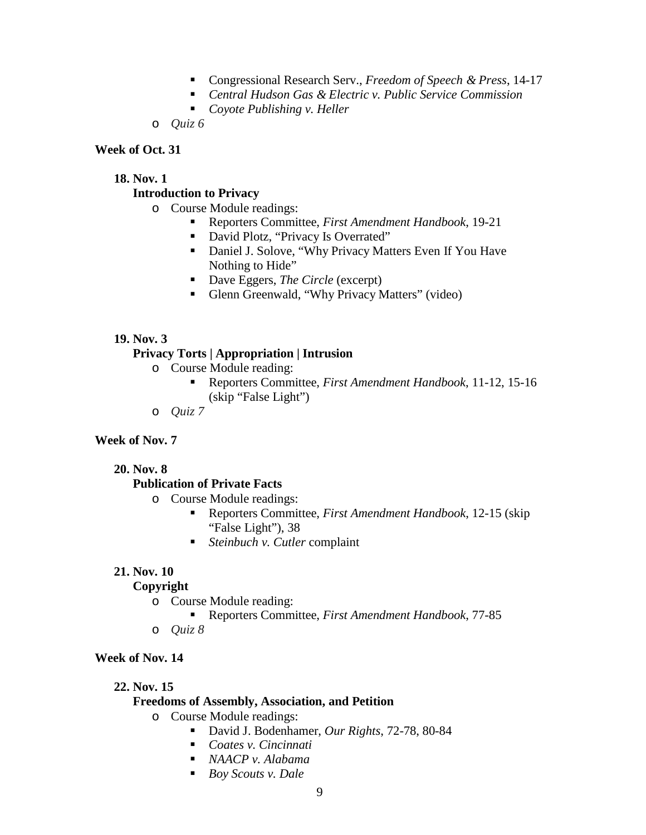- Congressional Research Serv., *Freedom of Speech & Press*, 14-17
- *Central Hudson Gas & Electric v. Public Service Commission*
- *Coyote Publishing v. Heller*
- o *Quiz 6*

#### **Week of Oct. 31**

#### **18. Nov. 1**

### **Introduction to Privacy**

- o Course Module readings:
	- Reporters Committee, *First Amendment Handbook*, 19-21
	- David Plotz, "Privacy Is Overrated"
	- Daniel J. Solove, "Why Privacy Matters Even If You Have Nothing to Hide"
	- Dave Eggers, *The Circle* (excerpt)
	- Glenn Greenwald, "Why Privacy Matters" (video)

#### **19. Nov. 3**

#### **Privacy Torts | Appropriation | Intrusion**

- o Course Module reading:
	- Reporters Committee, *First Amendment Handbook*, 11-12, 15-16 (skip "False Light")
- o *Quiz 7*

#### **Week of Nov. 7**

**20. Nov. 8**

### **Publication of Private Facts**

- o Course Module readings:
	- Reporters Committee, *First Amendment Handbook*, 12-15 (skip "False Light"), 38
	- *Steinbuch v. Cutler* complaint

#### **21. Nov. 10**

### **Copyright**

- o Course Module reading:
	- Reporters Committee, *First Amendment Handbook*, 77-85
- o *Quiz 8*

# **Week of Nov. 14**

**22. Nov. 15**

#### **Freedoms of Assembly, Association, and Petition**

- o Course Module readings:
	- David J. Bodenhamer, *Our Rights*, 72-78, 80-84
	- *Coates v. Cincinnati*
	- *NAACP v. Alabama*
	- *Boy Scouts v. Dale*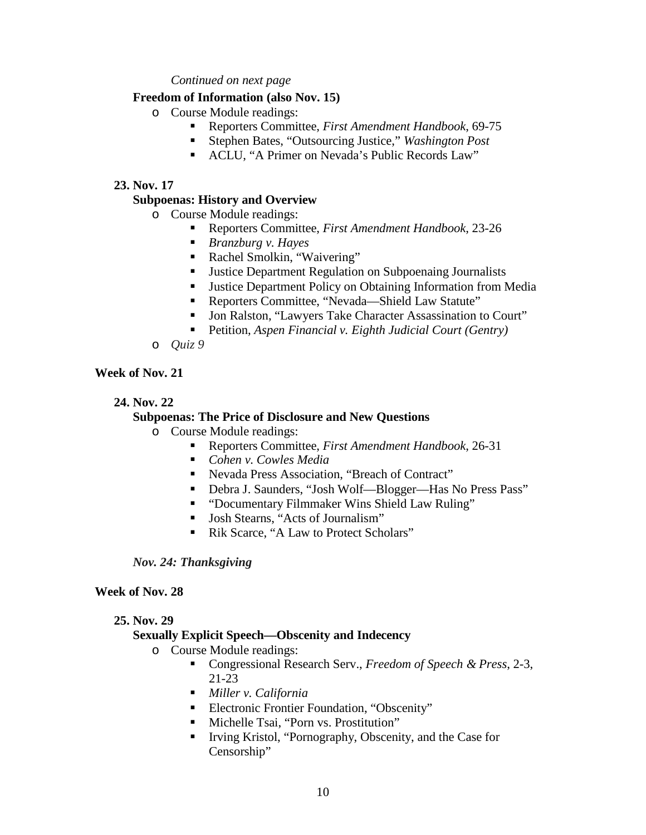#### *Continued on next page*

#### **Freedom of Information (also Nov. 15)**

- o Course Module readings:
	- Reporters Committee, *First Amendment Handbook*, 69-75
	- Stephen Bates, "Outsourcing Justice," *Washington Post*
	- ACLU, "A Primer on Nevada's Public Records Law"

#### **23. Nov. 17**

#### **Subpoenas: History and Overview**

- o Course Module readings:
	- Reporters Committee, *First Amendment Handbook*, 23-26
	- *Branzburg v. Hayes*
	- Rachel Smolkin, "Waivering"
	- **Justice Department Regulation on Subpoenaing Journalists**
	- **Justice Department Policy on Obtaining Information from Media**
	- Reporters Committee, "Nevada—Shield Law Statute"
	- Jon Ralston, "Lawyers Take Character Assassination to Court"
	- Petition, *Aspen Financial v. Eighth Judicial Court (Gentry)*
- o *Quiz 9*

## **Week of Nov. 21**

#### **24. Nov. 22**

## **Subpoenas: The Price of Disclosure and New Questions**

- o Course Module readings:
	- Reporters Committee, *First Amendment Handbook*, 26-31
	- *Cohen v. Cowles Media*
	- Nevada Press Association, "Breach of Contract"
	- Debra J. Saunders, "Josh Wolf—Blogger—Has No Press Pass"
	- "Documentary Filmmaker Wins Shield Law Ruling"
	- Josh Stearns, "Acts of Journalism"
	- Rik Scarce, "A Law to Protect Scholars"

*Nov. 24: Thanksgiving*

#### **Week of Nov. 28**

#### **25. Nov. 29**

### **Sexually Explicit Speech—Obscenity and Indecency**

- o Course Module readings:
	- Congressional Research Serv., *Freedom of Speech & Press*, 2-3, 21-23
	- *Miller v. California*
	- **Electronic Frontier Foundation, "Obscenity"**
	- Michelle Tsai, "Porn vs. Prostitution"
	- Irving Kristol, "Pornography, Obscenity, and the Case for Censorship"